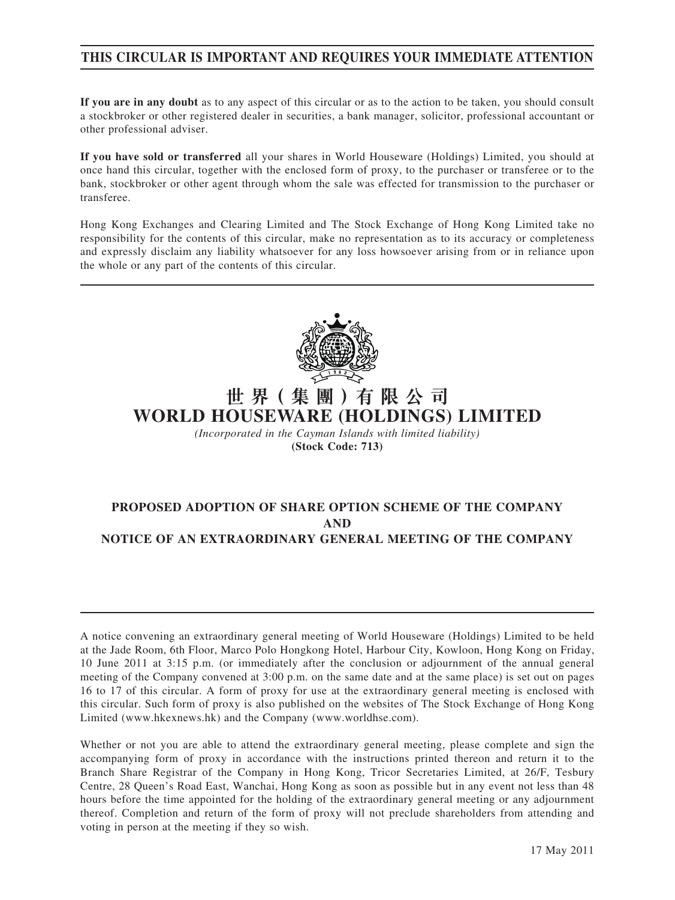### **THIS CIRCULAR IS IMPORTANT AND REQUIRES YOUR IMMEDIATE ATTENTION**

**If you are in any doubt** as to any aspect of this circular or as to the action to be taken, you should consult a stockbroker or other registered dealer in securities, a bank manager, solicitor, professional accountant or other professional adviser.

**If you have sold or transferred** all your shares in World Houseware (Holdings) Limited, you should at once hand this circular, together with the enclosed form of proxy, to the purchaser or transferee or to the bank, stockbroker or other agent through whom the sale was effected for transmission to the purchaser or transferee.

Hong Kong Exchanges and Clearing Limited and The Stock Exchange of Hong Kong Limited take no responsibility for the contents of this circular, make no representation as to its accuracy or completeness and expressly disclaim any liability whatsoever for any loss howsoever arising from or in reliance upon the whole or any part of the contents of this circular.



## **世 界( 集 團 )有 限 公 司 WORLD HOUSEWARE (HOLDINGS) LIMITED**

*(Incorporated in the Cayman Islands with limited liability)* **(Stock Code: 713)**

### **PROPOSED ADOPTION OF SHARE OPTION SCHEME OF THE COMPANY AND NOTICE OF AN EXTRAORDINARY GENERAL MEETING OF THE COMPANY**

A notice convening an extraordinary general meeting of World Houseware (Holdings) Limited to be held at the Jade Room, 6th Floor, Marco Polo Hongkong Hotel, Harbour City, Kowloon, Hong Kong on Friday, 10 June 2011 at 3:15 p.m. (or immediately after the conclusion or adjournment of the annual general meeting of the Company convened at 3:00 p.m. on the same date and at the same place) is set out on pages 16 to 17 of this circular. A form of proxy for use at the extraordinary general meeting is enclosed with this circular. Such form of proxy is also published on the websites of The Stock Exchange of Hong Kong Limited (www.hkexnews.hk) and the Company (www.worldhse.com).

Whether or not you are able to attend the extraordinary general meeting, please complete and sign the accompanying form of proxy in accordance with the instructions printed thereon and return it to the Branch Share Registrar of the Company in Hong Kong, Tricor Secretaries Limited, at 26/F, Tesbury Centre, 28 Queen's Road East, Wanchai, Hong Kong as soon as possible but in any event not less than 48 hours before the time appointed for the holding of the extraordinary general meeting or any adjournment thereof. Completion and return of the form of proxy will not preclude shareholders from attending and voting in person at the meeting if they so wish.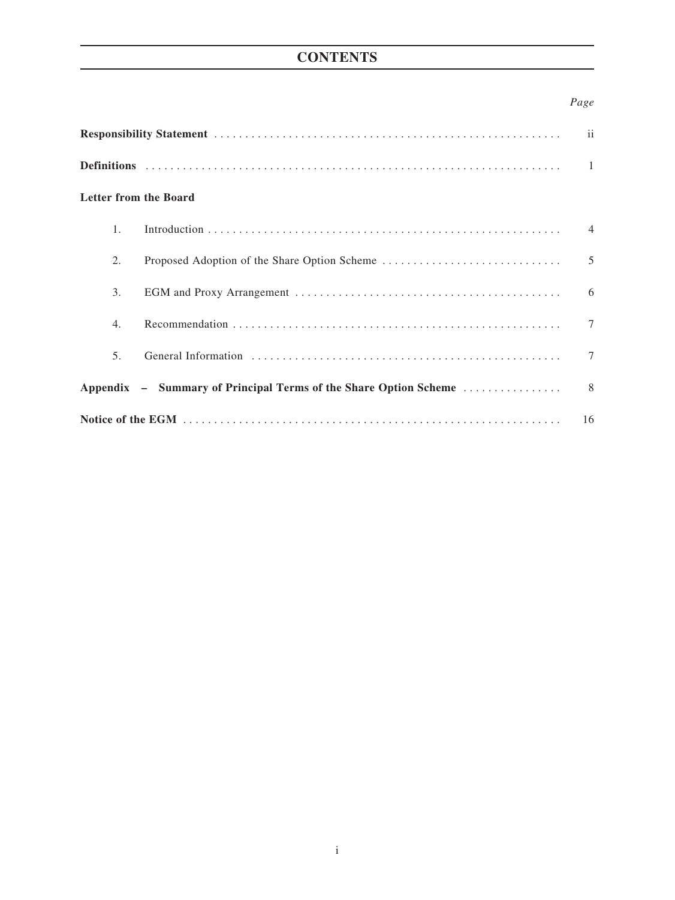## **CONTENTS**

### *Page*

| $\overline{\mathbf{ii}}$     |  |                |  |  |
|------------------------------|--|----------------|--|--|
|                              |  |                |  |  |
| <b>Letter from the Board</b> |  |                |  |  |
| 1 <sub>1</sub>               |  | $\overline{4}$ |  |  |
| 2.                           |  | 5              |  |  |
| 3.                           |  | 6              |  |  |
| 4.                           |  | $\tau$         |  |  |
| 5 <sub>1</sub>               |  | $\tau$         |  |  |
|                              |  |                |  |  |
| 16                           |  |                |  |  |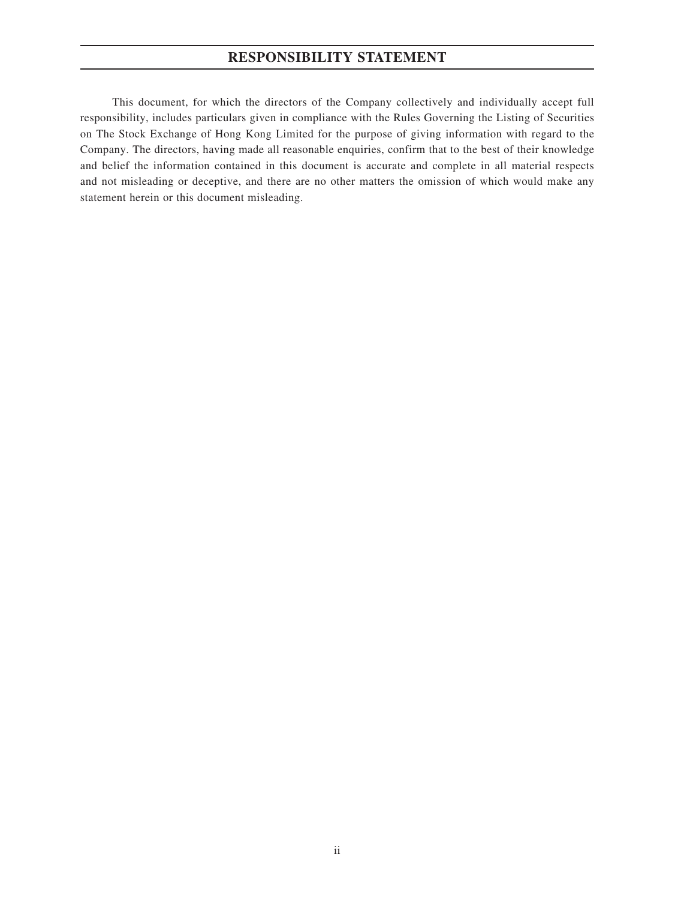## **RESPONSIBILITY STATEMENT**

This document, for which the directors of the Company collectively and individually accept full responsibility, includes particulars given in compliance with the Rules Governing the Listing of Securities on The Stock Exchange of Hong Kong Limited for the purpose of giving information with regard to the Company. The directors, having made all reasonable enquiries, confirm that to the best of their knowledge and belief the information contained in this document is accurate and complete in all material respects and not misleading or deceptive, and there are no other matters the omission of which would make any statement herein or this document misleading.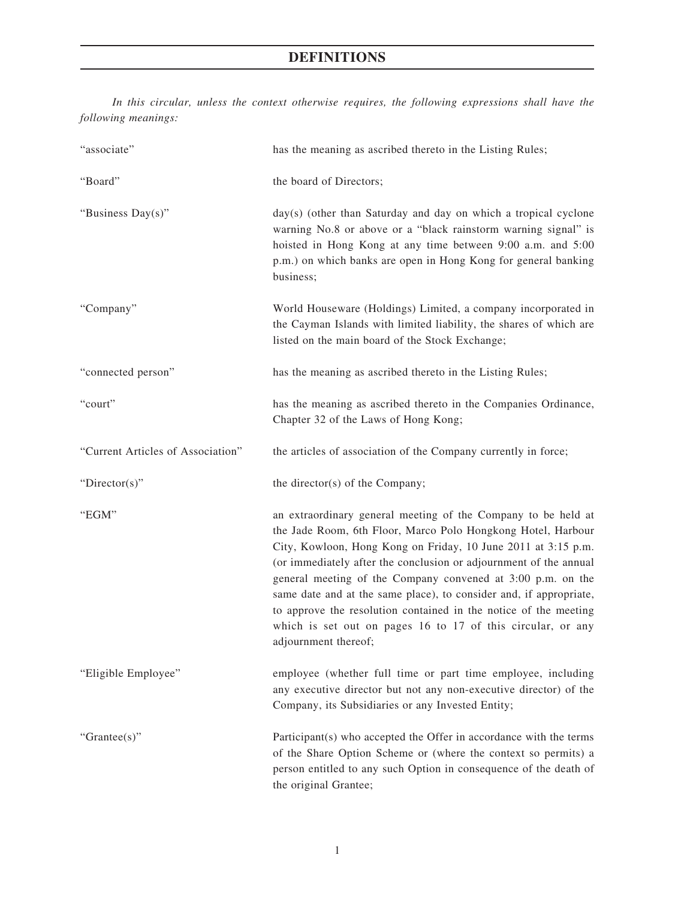## **DEFINITIONS**

*In this circular, unless the context otherwise requires, the following expressions shall have the following meanings:*

| "associate"                       | has the meaning as ascribed thereto in the Listing Rules;                                                                                                                                                                                                                                                                                                                                                                                                                                                                                                           |  |
|-----------------------------------|---------------------------------------------------------------------------------------------------------------------------------------------------------------------------------------------------------------------------------------------------------------------------------------------------------------------------------------------------------------------------------------------------------------------------------------------------------------------------------------------------------------------------------------------------------------------|--|
| "Board"                           | the board of Directors;                                                                                                                                                                                                                                                                                                                                                                                                                                                                                                                                             |  |
| "Business Day(s)"                 | day(s) (other than Saturday and day on which a tropical cyclone<br>warning No.8 or above or a "black rainstorm warning signal" is<br>hoisted in Hong Kong at any time between 9:00 a.m. and 5:00<br>p.m.) on which banks are open in Hong Kong for general banking<br>business;                                                                                                                                                                                                                                                                                     |  |
| "Company"                         | World Houseware (Holdings) Limited, a company incorporated in<br>the Cayman Islands with limited liability, the shares of which are<br>listed on the main board of the Stock Exchange;                                                                                                                                                                                                                                                                                                                                                                              |  |
| "connected person"                | has the meaning as ascribed thereto in the Listing Rules;                                                                                                                                                                                                                                                                                                                                                                                                                                                                                                           |  |
| "court"                           | has the meaning as ascribed thereto in the Companies Ordinance,<br>Chapter 32 of the Laws of Hong Kong;                                                                                                                                                                                                                                                                                                                                                                                                                                                             |  |
| "Current Articles of Association" | the articles of association of the Company currently in force;                                                                                                                                                                                                                                                                                                                                                                                                                                                                                                      |  |
| "Director(s)"                     | the director(s) of the Company;                                                                                                                                                                                                                                                                                                                                                                                                                                                                                                                                     |  |
| "EGM"                             | an extraordinary general meeting of the Company to be held at<br>the Jade Room, 6th Floor, Marco Polo Hongkong Hotel, Harbour<br>City, Kowloon, Hong Kong on Friday, 10 June 2011 at 3:15 p.m.<br>(or immediately after the conclusion or adjournment of the annual<br>general meeting of the Company convened at 3:00 p.m. on the<br>same date and at the same place), to consider and, if appropriate,<br>to approve the resolution contained in the notice of the meeting<br>which is set out on pages 16 to 17 of this circular, or any<br>adjournment thereof; |  |
| "Eligible Employee"               | employee (whether full time or part time employee, including<br>any executive director but not any non-executive director) of the<br>Company, its Subsidiaries or any Invested Entity;                                                                                                                                                                                                                                                                                                                                                                              |  |
| "Grantee(s)"                      | Participant(s) who accepted the Offer in accordance with the terms<br>of the Share Option Scheme or (where the context so permits) a<br>person entitled to any such Option in consequence of the death of<br>the original Grantee;                                                                                                                                                                                                                                                                                                                                  |  |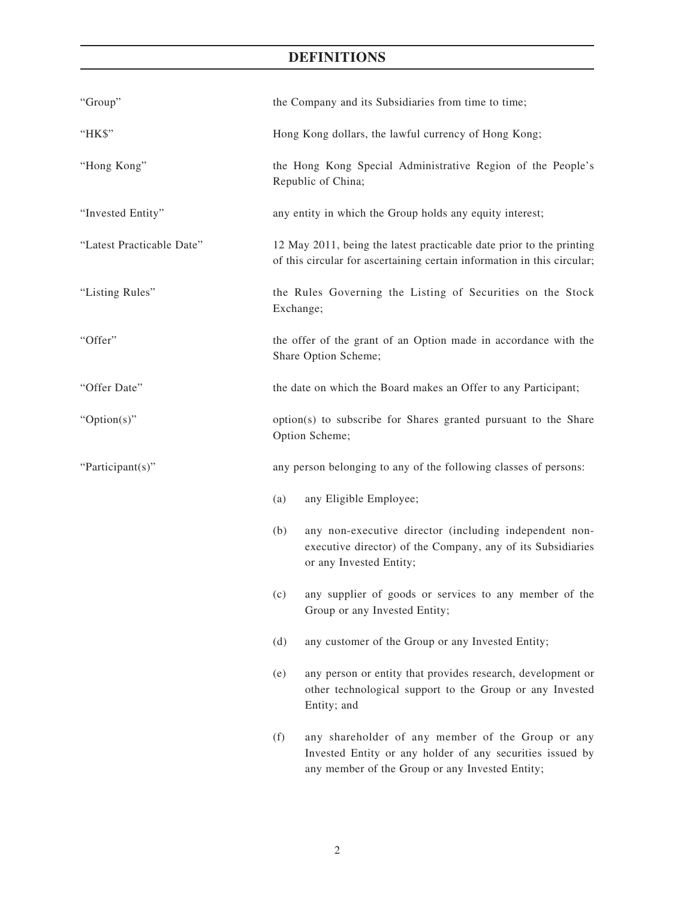## **DEFINITIONS**

| "Group"                   | the Company and its Subsidiaries from time to time;                                                                                                                      |
|---------------------------|--------------------------------------------------------------------------------------------------------------------------------------------------------------------------|
| "HK\$"                    | Hong Kong dollars, the lawful currency of Hong Kong;                                                                                                                     |
| "Hong Kong"               | the Hong Kong Special Administrative Region of the People's<br>Republic of China;                                                                                        |
| "Invested Entity"         | any entity in which the Group holds any equity interest;                                                                                                                 |
| "Latest Practicable Date" | 12 May 2011, being the latest practicable date prior to the printing<br>of this circular for ascertaining certain information in this circular;                          |
| "Listing Rules"           | the Rules Governing the Listing of Securities on the Stock<br>Exchange;                                                                                                  |
| "Offer"                   | the offer of the grant of an Option made in accordance with the<br>Share Option Scheme;                                                                                  |
| "Offer Date"              | the date on which the Board makes an Offer to any Participant;                                                                                                           |
| "Option(s)"               | option(s) to subscribe for Shares granted pursuant to the Share<br>Option Scheme;                                                                                        |
| "Participant(s)"          | any person belonging to any of the following classes of persons:                                                                                                         |
|                           | any Eligible Employee;<br>(a)                                                                                                                                            |
|                           | (b)<br>any non-executive director (including independent non-<br>executive director) of the Company, any of its Subsidiaries<br>or any Invested Entity;                  |
|                           | any supplier of goods or services to any member of the<br>(c)<br>Group or any Invested Entity;                                                                           |
|                           | (d)<br>any customer of the Group or any Invested Entity;                                                                                                                 |
|                           | any person or entity that provides research, development or<br>(e)<br>other technological support to the Group or any Invested<br>Entity; and                            |
|                           | (f)<br>any shareholder of any member of the Group or any<br>Invested Entity or any holder of any securities issued by<br>any member of the Group or any Invested Entity; |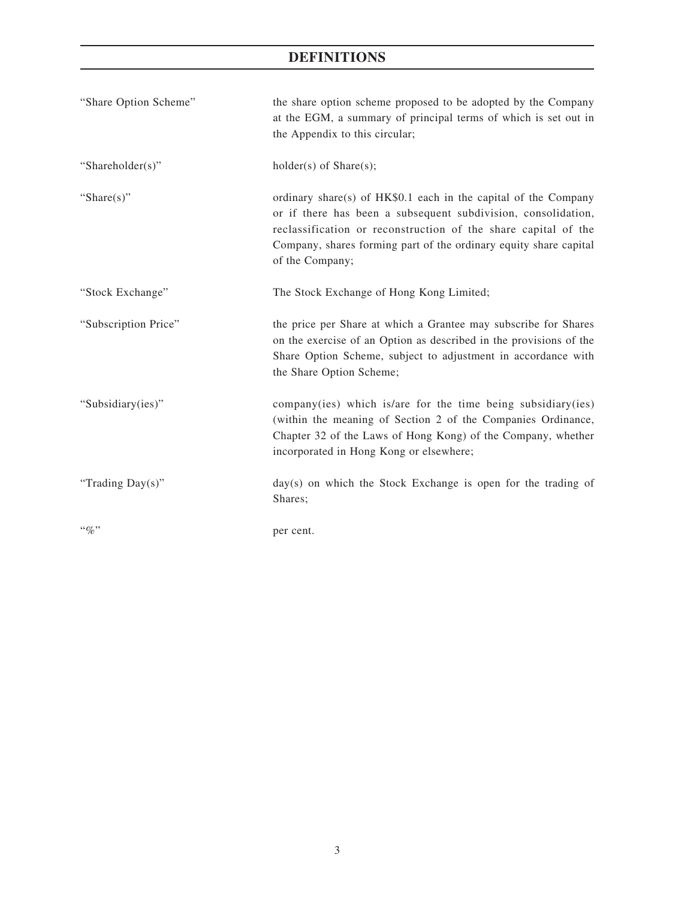## **DEFINITIONS**

| "Share Option Scheme" | the share option scheme proposed to be adopted by the Company<br>at the EGM, a summary of principal terms of which is set out in<br>the Appendix to this circular;                                                                                                                         |
|-----------------------|--------------------------------------------------------------------------------------------------------------------------------------------------------------------------------------------------------------------------------------------------------------------------------------------|
| "Shareholder(s)"      | $holder(s)$ of Share $(s)$ ;                                                                                                                                                                                                                                                               |
| "Share $(s)$ "        | ordinary share(s) of HK\$0.1 each in the capital of the Company<br>or if there has been a subsequent subdivision, consolidation,<br>reclassification or reconstruction of the share capital of the<br>Company, shares forming part of the ordinary equity share capital<br>of the Company; |
| "Stock Exchange"      | The Stock Exchange of Hong Kong Limited;                                                                                                                                                                                                                                                   |
| "Subscription Price"  | the price per Share at which a Grantee may subscribe for Shares<br>on the exercise of an Option as described in the provisions of the<br>Share Option Scheme, subject to adjustment in accordance with<br>the Share Option Scheme;                                                         |
| "Subsidiary(ies)"     | company(ies) which is/are for the time being subsidiary(ies)<br>(within the meaning of Section 2 of the Companies Ordinance,<br>Chapter 32 of the Laws of Hong Kong) of the Company, whether<br>incorporated in Hong Kong or elsewhere;                                                    |
| "Trading Day(s)"      | $day(s)$ on which the Stock Exchange is open for the trading of<br>Shares;                                                                                                                                                                                                                 |
| $``\%"$               | per cent.                                                                                                                                                                                                                                                                                  |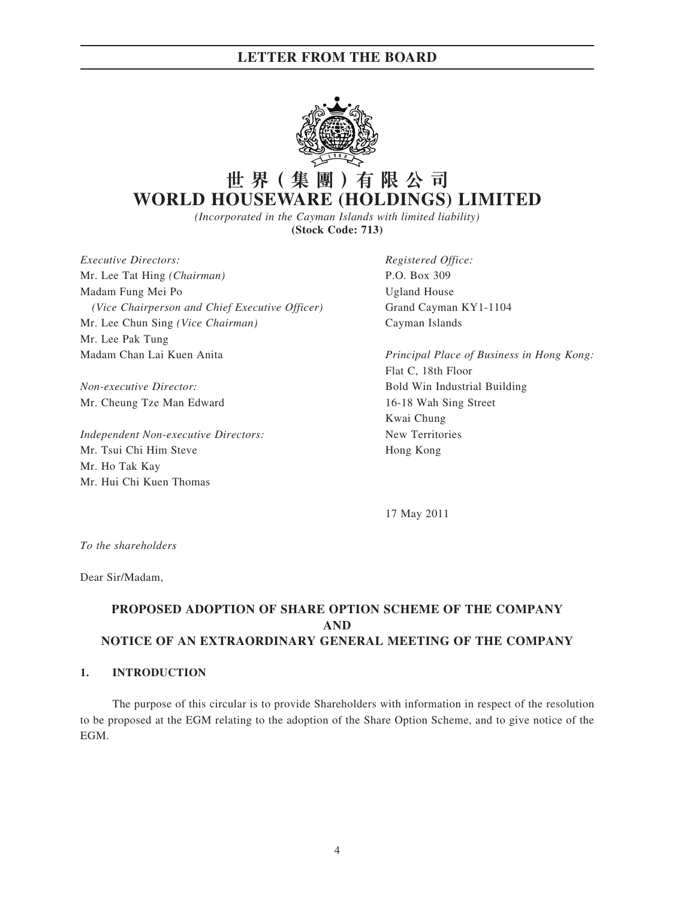### **LETTER FROM THE BOARD**



# **世 界( 集 團 )有 限 公 司 WORLD HOUSEWARE (HOLDINGS) LIMITED**

*(Incorporated in the Cayman Islands with limited liability)* **(Stock Code: 713)**

*Executive Directors: Registered Office:* Mr. Lee Tat Hing *(Chairman)* P.O. Box 309 Madam Fung Mei Po **Ugland House** *(Vice Chairperson and Chief Executive Officer)* Grand Cayman KY1-1104 Mr. Lee Chun Sing *(Vice Chairman)* Cayman Islands Mr. Lee Pak Tung Madam Chan Lai Kuen Anita *Principal Place of Business in Hong Kong:*

Mr. Cheung Tze Man Edward 16-18 Wah Sing Street

*Independent Non-executive Directors:* New Territories Mr. Tsui Chi Him Steve Hong Kong Mr. Ho Tak Kay Mr. Hui Chi Kuen Thomas

Flat C, 18th Floor *Non-executive Director:* Bold Win Industrial Building Kwai Chung

17 May 2011

*To the shareholders*

Dear Sir/Madam,

### **PROPOSED ADOPTION OF SHARE OPTION SCHEME OF THE COMPANY AND NOTICE OF AN EXTRAORDINARY GENERAL MEETING OF THE COMPANY**

#### **1. INTRODUCTION**

The purpose of this circular is to provide Shareholders with information in respect of the resolution to be proposed at the EGM relating to the adoption of the Share Option Scheme, and to give notice of the EGM.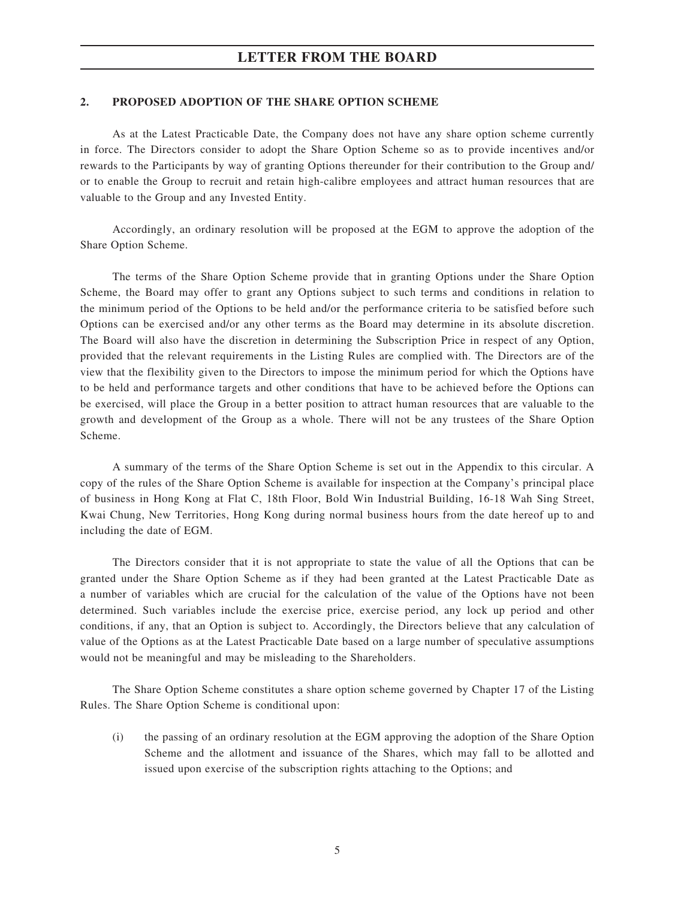#### **2. PROPOSED ADOPTION OF THE SHARE OPTION SCHEME**

As at the Latest Practicable Date, the Company does not have any share option scheme currently in force. The Directors consider to adopt the Share Option Scheme so as to provide incentives and/or rewards to the Participants by way of granting Options thereunder for their contribution to the Group and/ or to enable the Group to recruit and retain high-calibre employees and attract human resources that are valuable to the Group and any Invested Entity.

Accordingly, an ordinary resolution will be proposed at the EGM to approve the adoption of the Share Option Scheme.

The terms of the Share Option Scheme provide that in granting Options under the Share Option Scheme, the Board may offer to grant any Options subject to such terms and conditions in relation to the minimum period of the Options to be held and/or the performance criteria to be satisfied before such Options can be exercised and/or any other terms as the Board may determine in its absolute discretion. The Board will also have the discretion in determining the Subscription Price in respect of any Option, provided that the relevant requirements in the Listing Rules are complied with. The Directors are of the view that the flexibility given to the Directors to impose the minimum period for which the Options have to be held and performance targets and other conditions that have to be achieved before the Options can be exercised, will place the Group in a better position to attract human resources that are valuable to the growth and development of the Group as a whole. There will not be any trustees of the Share Option Scheme.

A summary of the terms of the Share Option Scheme is set out in the Appendix to this circular. A copy of the rules of the Share Option Scheme is available for inspection at the Company's principal place of business in Hong Kong at Flat C, 18th Floor, Bold Win Industrial Building, 16-18 Wah Sing Street, Kwai Chung, New Territories, Hong Kong during normal business hours from the date hereof up to and including the date of EGM.

The Directors consider that it is not appropriate to state the value of all the Options that can be granted under the Share Option Scheme as if they had been granted at the Latest Practicable Date as a number of variables which are crucial for the calculation of the value of the Options have not been determined. Such variables include the exercise price, exercise period, any lock up period and other conditions, if any, that an Option is subject to. Accordingly, the Directors believe that any calculation of value of the Options as at the Latest Practicable Date based on a large number of speculative assumptions would not be meaningful and may be misleading to the Shareholders.

The Share Option Scheme constitutes a share option scheme governed by Chapter 17 of the Listing Rules. The Share Option Scheme is conditional upon:

(i) the passing of an ordinary resolution at the EGM approving the adoption of the Share Option Scheme and the allotment and issuance of the Shares, which may fall to be allotted and issued upon exercise of the subscription rights attaching to the Options; and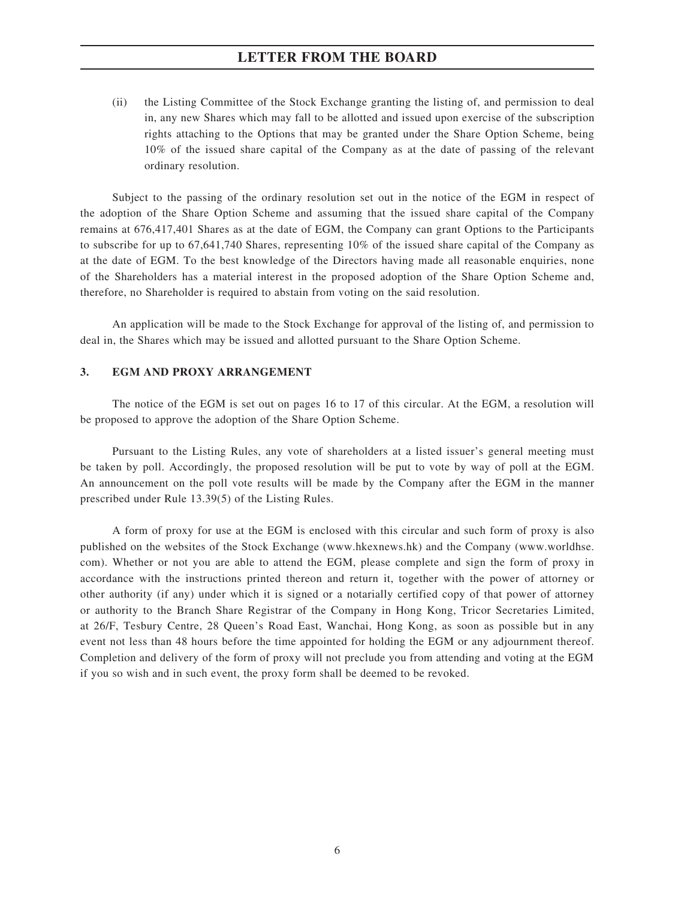### **LETTER FROM THE BOARD**

(ii) the Listing Committee of the Stock Exchange granting the listing of, and permission to deal in, any new Shares which may fall to be allotted and issued upon exercise of the subscription rights attaching to the Options that may be granted under the Share Option Scheme, being 10% of the issued share capital of the Company as at the date of passing of the relevant ordinary resolution.

Subject to the passing of the ordinary resolution set out in the notice of the EGM in respect of the adoption of the Share Option Scheme and assuming that the issued share capital of the Company remains at 676,417,401 Shares as at the date of EGM, the Company can grant Options to the Participants to subscribe for up to 67,641,740 Shares, representing 10% of the issued share capital of the Company as at the date of EGM. To the best knowledge of the Directors having made all reasonable enquiries, none of the Shareholders has a material interest in the proposed adoption of the Share Option Scheme and, therefore, no Shareholder is required to abstain from voting on the said resolution.

An application will be made to the Stock Exchange for approval of the listing of, and permission to deal in, the Shares which may be issued and allotted pursuant to the Share Option Scheme.

#### **3. EGM AND PROXY ARRANGEMENT**

The notice of the EGM is set out on pages 16 to 17 of this circular. At the EGM, a resolution will be proposed to approve the adoption of the Share Option Scheme.

Pursuant to the Listing Rules, any vote of shareholders at a listed issuer's general meeting must be taken by poll. Accordingly, the proposed resolution will be put to vote by way of poll at the EGM. An announcement on the poll vote results will be made by the Company after the EGM in the manner prescribed under Rule 13.39(5) of the Listing Rules.

A form of proxy for use at the EGM is enclosed with this circular and such form of proxy is also published on the websites of the Stock Exchange (www.hkexnews.hk) and the Company (www.worldhse. com). Whether or not you are able to attend the EGM, please complete and sign the form of proxy in accordance with the instructions printed thereon and return it, together with the power of attorney or other authority (if any) under which it is signed or a notarially certified copy of that power of attorney or authority to the Branch Share Registrar of the Company in Hong Kong, Tricor Secretaries Limited, at 26/F, Tesbury Centre, 28 Queen's Road East, Wanchai, Hong Kong, as soon as possible but in any event not less than 48 hours before the time appointed for holding the EGM or any adjournment thereof. Completion and delivery of the form of proxy will not preclude you from attending and voting at the EGM if you so wish and in such event, the proxy form shall be deemed to be revoked.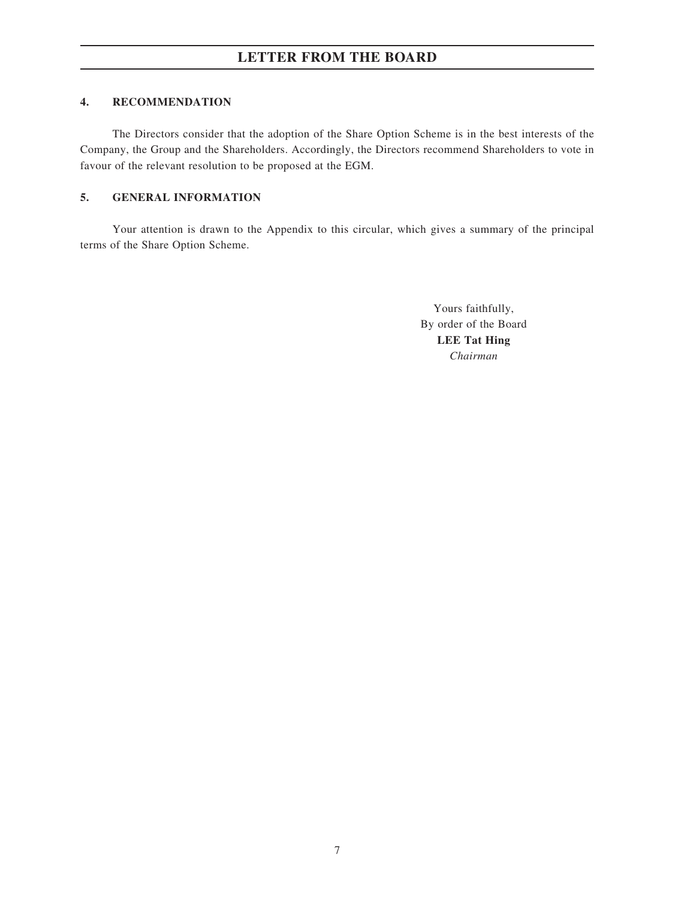### **4. RECOMMENDATION**

The Directors consider that the adoption of the Share Option Scheme is in the best interests of the Company, the Group and the Shareholders. Accordingly, the Directors recommend Shareholders to vote in favour of the relevant resolution to be proposed at the EGM.

### **5. GENERAL INFORMATION**

Your attention is drawn to the Appendix to this circular, which gives a summary of the principal terms of the Share Option Scheme.

> Yours faithfully, By order of the Board **LEE Tat Hing** *Chairman*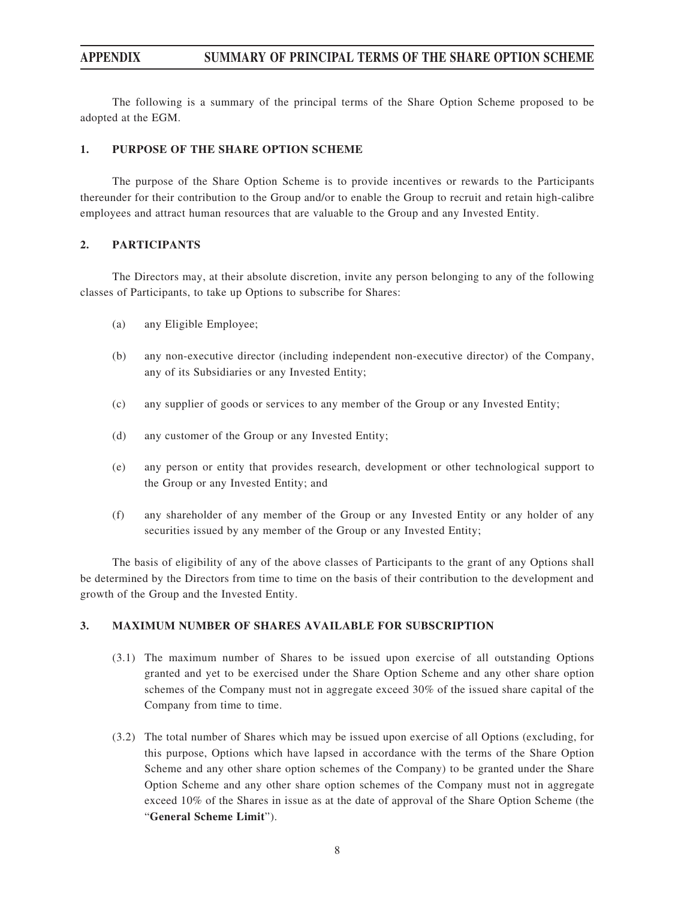The following is a summary of the principal terms of the Share Option Scheme proposed to be adopted at the EGM.

#### **1. PURPOSE OF THE SHARE OPTION SCHEME**

The purpose of the Share Option Scheme is to provide incentives or rewards to the Participants thereunder for their contribution to the Group and/or to enable the Group to recruit and retain high-calibre employees and attract human resources that are valuable to the Group and any Invested Entity.

#### **2. PARTICIPANTS**

The Directors may, at their absolute discretion, invite any person belonging to any of the following classes of Participants, to take up Options to subscribe for Shares:

- (a) any Eligible Employee;
- (b) any non-executive director (including independent non-executive director) of the Company, any of its Subsidiaries or any Invested Entity;
- (c) any supplier of goods or services to any member of the Group or any Invested Entity;
- (d) any customer of the Group or any Invested Entity;
- (e) any person or entity that provides research, development or other technological support to the Group or any Invested Entity; and
- (f) any shareholder of any member of the Group or any Invested Entity or any holder of any securities issued by any member of the Group or any Invested Entity;

The basis of eligibility of any of the above classes of Participants to the grant of any Options shall be determined by the Directors from time to time on the basis of their contribution to the development and growth of the Group and the Invested Entity.

#### **3. MAXIMUM NUMBER OF SHARES AVAILABLE FOR SUBSCRIPTION**

- (3.1) The maximum number of Shares to be issued upon exercise of all outstanding Options granted and yet to be exercised under the Share Option Scheme and any other share option schemes of the Company must not in aggregate exceed 30% of the issued share capital of the Company from time to time.
- (3.2) The total number of Shares which may be issued upon exercise of all Options (excluding, for this purpose, Options which have lapsed in accordance with the terms of the Share Option Scheme and any other share option schemes of the Company) to be granted under the Share Option Scheme and any other share option schemes of the Company must not in aggregate exceed 10% of the Shares in issue as at the date of approval of the Share Option Scheme (the "**General Scheme Limit**").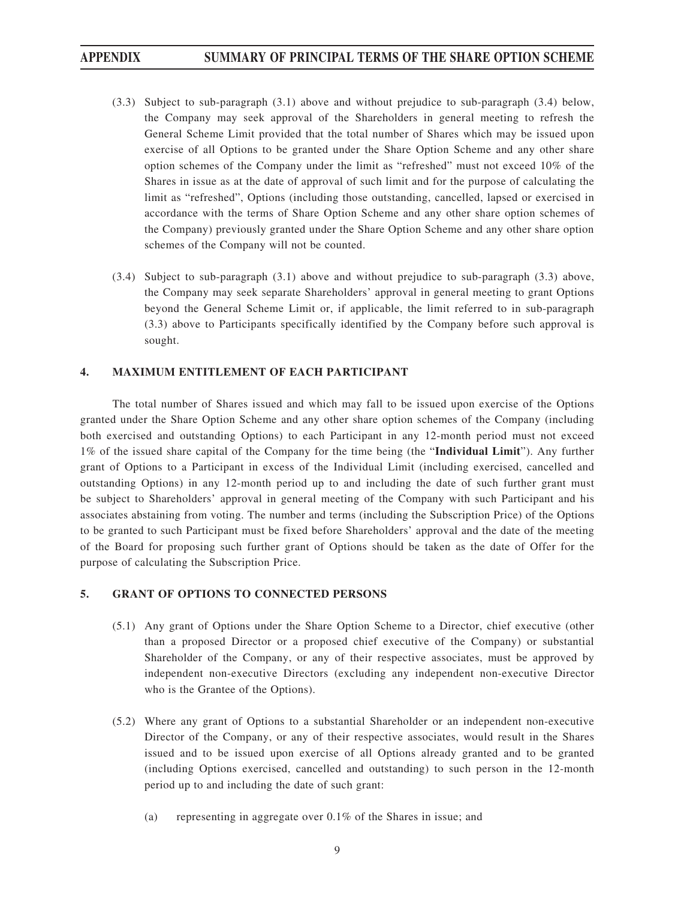- (3.3) Subject to sub-paragraph (3.1) above and without prejudice to sub-paragraph (3.4) below, the Company may seek approval of the Shareholders in general meeting to refresh the General Scheme Limit provided that the total number of Shares which may be issued upon exercise of all Options to be granted under the Share Option Scheme and any other share option schemes of the Company under the limit as "refreshed" must not exceed 10% of the Shares in issue as at the date of approval of such limit and for the purpose of calculating the limit as "refreshed", Options (including those outstanding, cancelled, lapsed or exercised in accordance with the terms of Share Option Scheme and any other share option schemes of the Company) previously granted under the Share Option Scheme and any other share option schemes of the Company will not be counted.
- (3.4) Subject to sub-paragraph (3.1) above and without prejudice to sub-paragraph (3.3) above, the Company may seek separate Shareholders' approval in general meeting to grant Options beyond the General Scheme Limit or, if applicable, the limit referred to in sub-paragraph (3.3) above to Participants specifically identified by the Company before such approval is sought.

### **4. MAXIMUM ENTITLEMENT OF EACH PARTICIPANT**

The total number of Shares issued and which may fall to be issued upon exercise of the Options granted under the Share Option Scheme and any other share option schemes of the Company (including both exercised and outstanding Options) to each Participant in any 12-month period must not exceed 1% of the issued share capital of the Company for the time being (the "**Individual Limit**"). Any further grant of Options to a Participant in excess of the Individual Limit (including exercised, cancelled and outstanding Options) in any 12-month period up to and including the date of such further grant must be subject to Shareholders' approval in general meeting of the Company with such Participant and his associates abstaining from voting. The number and terms (including the Subscription Price) of the Options to be granted to such Participant must be fixed before Shareholders' approval and the date of the meeting of the Board for proposing such further grant of Options should be taken as the date of Offer for the purpose of calculating the Subscription Price.

#### **5. GRANT OF OPTIONS TO CONNECTED PERSONS**

- (5.1) Any grant of Options under the Share Option Scheme to a Director, chief executive (other than a proposed Director or a proposed chief executive of the Company) or substantial Shareholder of the Company, or any of their respective associates, must be approved by independent non-executive Directors (excluding any independent non-executive Director who is the Grantee of the Options).
- (5.2) Where any grant of Options to a substantial Shareholder or an independent non-executive Director of the Company, or any of their respective associates, would result in the Shares issued and to be issued upon exercise of all Options already granted and to be granted (including Options exercised, cancelled and outstanding) to such person in the 12-month period up to and including the date of such grant:
	- (a) representing in aggregate over 0.1% of the Shares in issue; and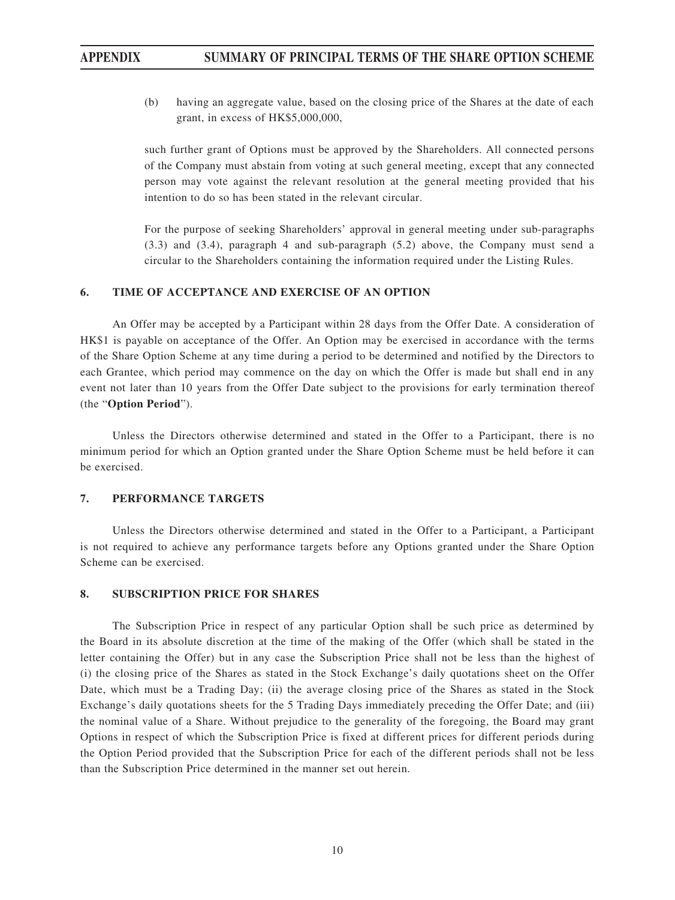(b) having an aggregate value, based on the closing price of the Shares at the date of each grant, in excess of HK\$5,000,000,

such further grant of Options must be approved by the Shareholders. All connected persons of the Company must abstain from voting at such general meeting, except that any connected person may vote against the relevant resolution at the general meeting provided that his intention to do so has been stated in the relevant circular.

For the purpose of seeking Shareholders' approval in general meeting under sub-paragraphs (3.3) and (3.4), paragraph 4 and sub-paragraph (5.2) above, the Company must send a circular to the Shareholders containing the information required under the Listing Rules.

### **6. TIME OF ACCEPTANCE AND EXERCISE OF AN OPTION**

An Offer may be accepted by a Participant within 28 days from the Offer Date. A consideration of HK\$1 is payable on acceptance of the Offer. An Option may be exercised in accordance with the terms of the Share Option Scheme at any time during a period to be determined and notified by the Directors to each Grantee, which period may commence on the day on which the Offer is made but shall end in any event not later than 10 years from the Offer Date subject to the provisions for early termination thereof (the "**Option Period**").

Unless the Directors otherwise determined and stated in the Offer to a Participant, there is no minimum period for which an Option granted under the Share Option Scheme must be held before it can be exercised.

#### **7. PERFORMANCE TARGETS**

Unless the Directors otherwise determined and stated in the Offer to a Participant, a Participant is not required to achieve any performance targets before any Options granted under the Share Option Scheme can be exercised.

#### **8. SUBSCRIPTION PRICE FOR SHARES**

The Subscription Price in respect of any particular Option shall be such price as determined by the Board in its absolute discretion at the time of the making of the Offer (which shall be stated in the letter containing the Offer) but in any case the Subscription Price shall not be less than the highest of (i) the closing price of the Shares as stated in the Stock Exchange's daily quotations sheet on the Offer Date, which must be a Trading Day; (ii) the average closing price of the Shares as stated in the Stock Exchange's daily quotations sheets for the 5 Trading Days immediately preceding the Offer Date; and (iii) the nominal value of a Share. Without prejudice to the generality of the foregoing, the Board may grant Options in respect of which the Subscription Price is fixed at different prices for different periods during the Option Period provided that the Subscription Price for each of the different periods shall not be less than the Subscription Price determined in the manner set out herein.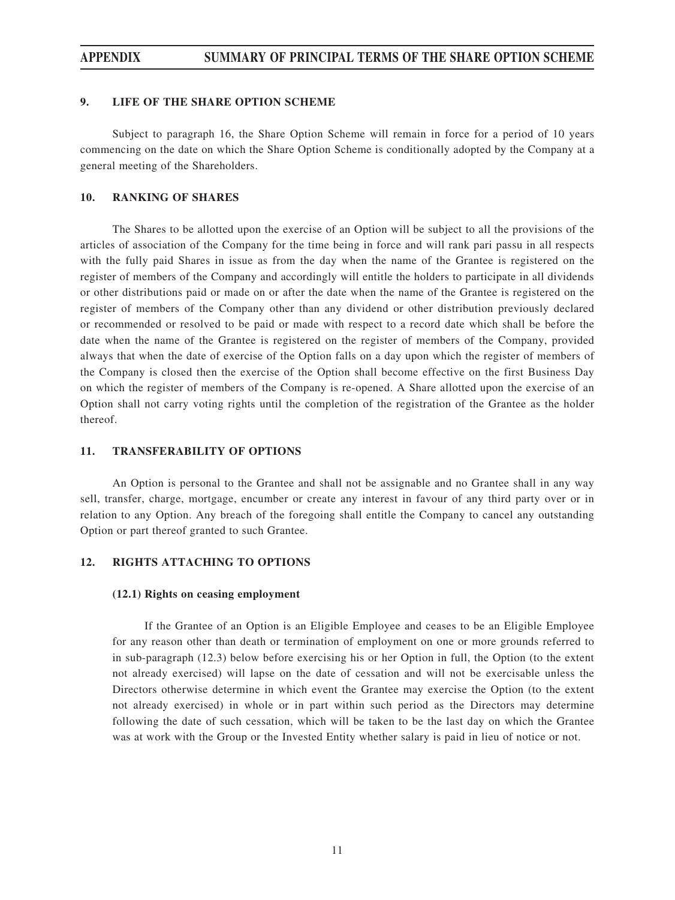#### **9. LIFE OF THE SHARE OPTION SCHEME**

Subject to paragraph 16, the Share Option Scheme will remain in force for a period of 10 years commencing on the date on which the Share Option Scheme is conditionally adopted by the Company at a general meeting of the Shareholders.

#### **10. RANKING OF SHARES**

The Shares to be allotted upon the exercise of an Option will be subject to all the provisions of the articles of association of the Company for the time being in force and will rank pari passu in all respects with the fully paid Shares in issue as from the day when the name of the Grantee is registered on the register of members of the Company and accordingly will entitle the holders to participate in all dividends or other distributions paid or made on or after the date when the name of the Grantee is registered on the register of members of the Company other than any dividend or other distribution previously declared or recommended or resolved to be paid or made with respect to a record date which shall be before the date when the name of the Grantee is registered on the register of members of the Company, provided always that when the date of exercise of the Option falls on a day upon which the register of members of the Company is closed then the exercise of the Option shall become effective on the first Business Day on which the register of members of the Company is re-opened. A Share allotted upon the exercise of an Option shall not carry voting rights until the completion of the registration of the Grantee as the holder thereof.

#### **11. TRANSFERABILITY OF OPTIONS**

An Option is personal to the Grantee and shall not be assignable and no Grantee shall in any way sell, transfer, charge, mortgage, encumber or create any interest in favour of any third party over or in relation to any Option. Any breach of the foregoing shall entitle the Company to cancel any outstanding Option or part thereof granted to such Grantee.

### **12. RIGHTS ATTACHING TO OPTIONS**

#### **(12.1) Rights on ceasing employment**

If the Grantee of an Option is an Eligible Employee and ceases to be an Eligible Employee for any reason other than death or termination of employment on one or more grounds referred to in sub-paragraph (12.3) below before exercising his or her Option in full, the Option (to the extent not already exercised) will lapse on the date of cessation and will not be exercisable unless the Directors otherwise determine in which event the Grantee may exercise the Option (to the extent not already exercised) in whole or in part within such period as the Directors may determine following the date of such cessation, which will be taken to be the last day on which the Grantee was at work with the Group or the Invested Entity whether salary is paid in lieu of notice or not.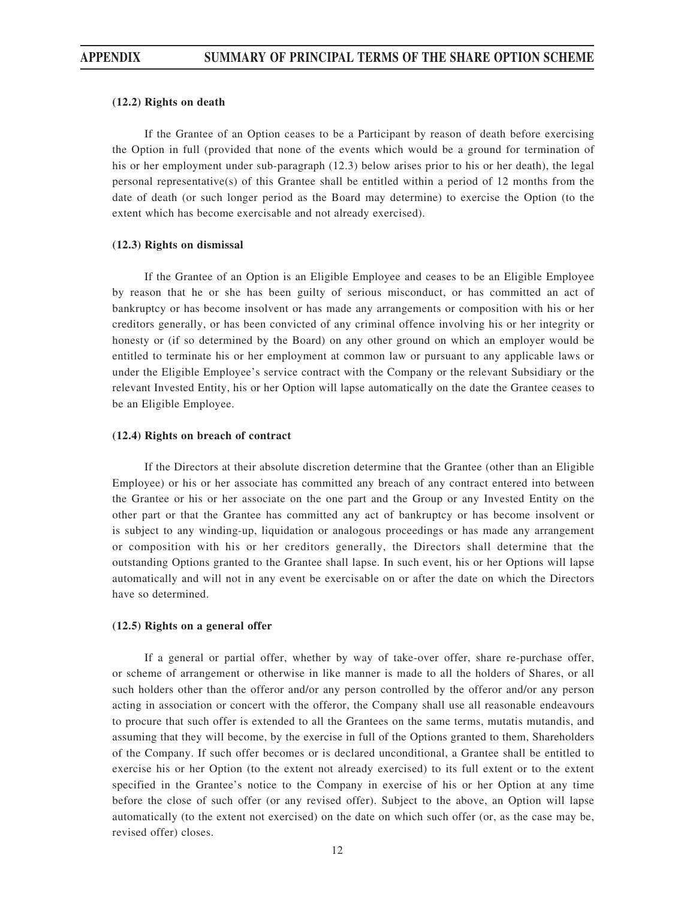#### **(12.2) Rights on death**

If the Grantee of an Option ceases to be a Participant by reason of death before exercising the Option in full (provided that none of the events which would be a ground for termination of his or her employment under sub-paragraph (12.3) below arises prior to his or her death), the legal personal representative(s) of this Grantee shall be entitled within a period of 12 months from the date of death (or such longer period as the Board may determine) to exercise the Option (to the extent which has become exercisable and not already exercised).

#### **(12.3) Rights on dismissal**

If the Grantee of an Option is an Eligible Employee and ceases to be an Eligible Employee by reason that he or she has been guilty of serious misconduct, or has committed an act of bankruptcy or has become insolvent or has made any arrangements or composition with his or her creditors generally, or has been convicted of any criminal offence involving his or her integrity or honesty or (if so determined by the Board) on any other ground on which an employer would be entitled to terminate his or her employment at common law or pursuant to any applicable laws or under the Eligible Employee's service contract with the Company or the relevant Subsidiary or the relevant Invested Entity, his or her Option will lapse automatically on the date the Grantee ceases to be an Eligible Employee.

#### **(12.4) Rights on breach of contract**

If the Directors at their absolute discretion determine that the Grantee (other than an Eligible Employee) or his or her associate has committed any breach of any contract entered into between the Grantee or his or her associate on the one part and the Group or any Invested Entity on the other part or that the Grantee has committed any act of bankruptcy or has become insolvent or is subject to any winding-up, liquidation or analogous proceedings or has made any arrangement or composition with his or her creditors generally, the Directors shall determine that the outstanding Options granted to the Grantee shall lapse. In such event, his or her Options will lapse automatically and will not in any event be exercisable on or after the date on which the Directors have so determined.

#### **(12.5) Rights on a general offer**

If a general or partial offer, whether by way of take-over offer, share re-purchase offer, or scheme of arrangement or otherwise in like manner is made to all the holders of Shares, or all such holders other than the offeror and/or any person controlled by the offeror and/or any person acting in association or concert with the offeror, the Company shall use all reasonable endeavours to procure that such offer is extended to all the Grantees on the same terms, mutatis mutandis, and assuming that they will become, by the exercise in full of the Options granted to them, Shareholders of the Company. If such offer becomes or is declared unconditional, a Grantee shall be entitled to exercise his or her Option (to the extent not already exercised) to its full extent or to the extent specified in the Grantee's notice to the Company in exercise of his or her Option at any time before the close of such offer (or any revised offer). Subject to the above, an Option will lapse automatically (to the extent not exercised) on the date on which such offer (or, as the case may be, revised offer) closes.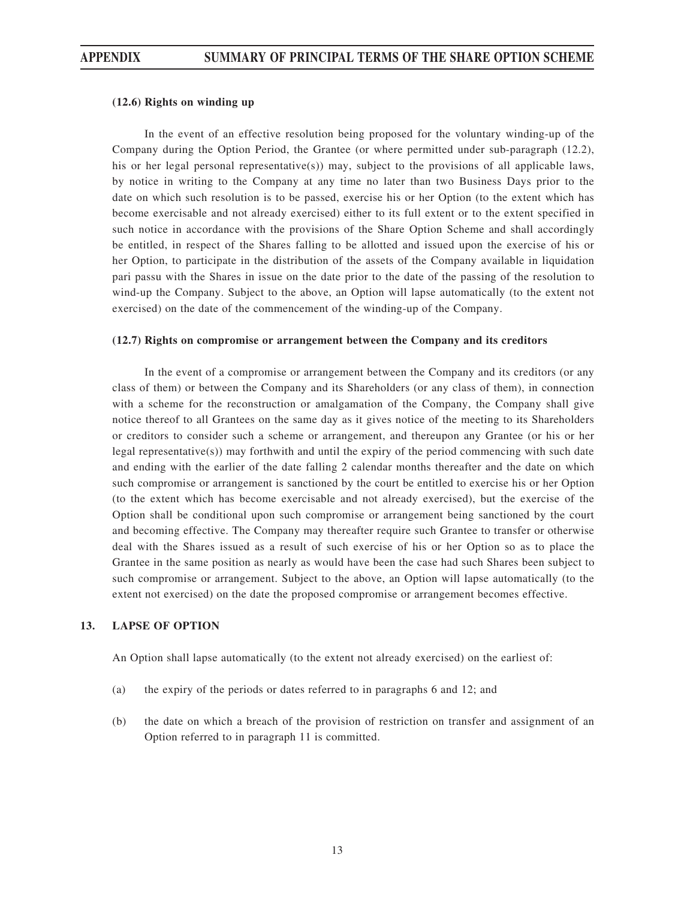#### **(12.6) Rights on winding up**

In the event of an effective resolution being proposed for the voluntary winding-up of the Company during the Option Period, the Grantee (or where permitted under sub-paragraph (12.2), his or her legal personal representative(s)) may, subject to the provisions of all applicable laws, by notice in writing to the Company at any time no later than two Business Days prior to the date on which such resolution is to be passed, exercise his or her Option (to the extent which has become exercisable and not already exercised) either to its full extent or to the extent specified in such notice in accordance with the provisions of the Share Option Scheme and shall accordingly be entitled, in respect of the Shares falling to be allotted and issued upon the exercise of his or her Option, to participate in the distribution of the assets of the Company available in liquidation pari passu with the Shares in issue on the date prior to the date of the passing of the resolution to wind-up the Company. Subject to the above, an Option will lapse automatically (to the extent not exercised) on the date of the commencement of the winding-up of the Company.

#### **(12.7) Rights on compromise or arrangement between the Company and its creditors**

In the event of a compromise or arrangement between the Company and its creditors (or any class of them) or between the Company and its Shareholders (or any class of them), in connection with a scheme for the reconstruction or amalgamation of the Company, the Company shall give notice thereof to all Grantees on the same day as it gives notice of the meeting to its Shareholders or creditors to consider such a scheme or arrangement, and thereupon any Grantee (or his or her legal representative(s)) may forthwith and until the expiry of the period commencing with such date and ending with the earlier of the date falling 2 calendar months thereafter and the date on which such compromise or arrangement is sanctioned by the court be entitled to exercise his or her Option (to the extent which has become exercisable and not already exercised), but the exercise of the Option shall be conditional upon such compromise or arrangement being sanctioned by the court and becoming effective. The Company may thereafter require such Grantee to transfer or otherwise deal with the Shares issued as a result of such exercise of his or her Option so as to place the Grantee in the same position as nearly as would have been the case had such Shares been subject to such compromise or arrangement. Subject to the above, an Option will lapse automatically (to the extent not exercised) on the date the proposed compromise or arrangement becomes effective.

#### **13. LAPSE OF OPTION**

An Option shall lapse automatically (to the extent not already exercised) on the earliest of:

- (a) the expiry of the periods or dates referred to in paragraphs 6 and 12; and
- (b) the date on which a breach of the provision of restriction on transfer and assignment of an Option referred to in paragraph 11 is committed.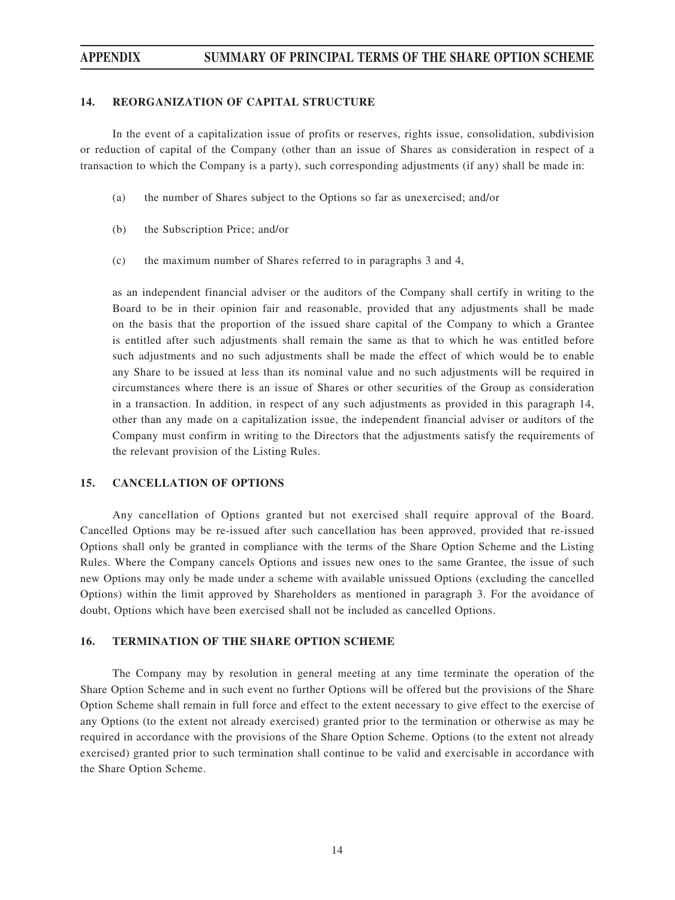#### **14. REORGANIZATION OF CAPITAL STRUCTURE**

In the event of a capitalization issue of profits or reserves, rights issue, consolidation, subdivision or reduction of capital of the Company (other than an issue of Shares as consideration in respect of a transaction to which the Company is a party), such corresponding adjustments (if any) shall be made in:

- (a) the number of Shares subject to the Options so far as unexercised; and/or
- (b) the Subscription Price; and/or
- (c) the maximum number of Shares referred to in paragraphs 3 and 4,

as an independent financial adviser or the auditors of the Company shall certify in writing to the Board to be in their opinion fair and reasonable, provided that any adjustments shall be made on the basis that the proportion of the issued share capital of the Company to which a Grantee is entitled after such adjustments shall remain the same as that to which he was entitled before such adjustments and no such adjustments shall be made the effect of which would be to enable any Share to be issued at less than its nominal value and no such adjustments will be required in circumstances where there is an issue of Shares or other securities of the Group as consideration in a transaction. In addition, in respect of any such adjustments as provided in this paragraph 14, other than any made on a capitalization issue, the independent financial adviser or auditors of the Company must confirm in writing to the Directors that the adjustments satisfy the requirements of the relevant provision of the Listing Rules.

#### **15. CANCELLATION OF OPTIONS**

Any cancellation of Options granted but not exercised shall require approval of the Board. Cancelled Options may be re-issued after such cancellation has been approved, provided that re-issued Options shall only be granted in compliance with the terms of the Share Option Scheme and the Listing Rules. Where the Company cancels Options and issues new ones to the same Grantee, the issue of such new Options may only be made under a scheme with available unissued Options (excluding the cancelled Options) within the limit approved by Shareholders as mentioned in paragraph 3. For the avoidance of doubt, Options which have been exercised shall not be included as cancelled Options.

#### **16. TERMINATION OF THE SHARE OPTION SCHEME**

The Company may by resolution in general meeting at any time terminate the operation of the Share Option Scheme and in such event no further Options will be offered but the provisions of the Share Option Scheme shall remain in full force and effect to the extent necessary to give effect to the exercise of any Options (to the extent not already exercised) granted prior to the termination or otherwise as may be required in accordance with the provisions of the Share Option Scheme. Options (to the extent not already exercised) granted prior to such termination shall continue to be valid and exercisable in accordance with the Share Option Scheme.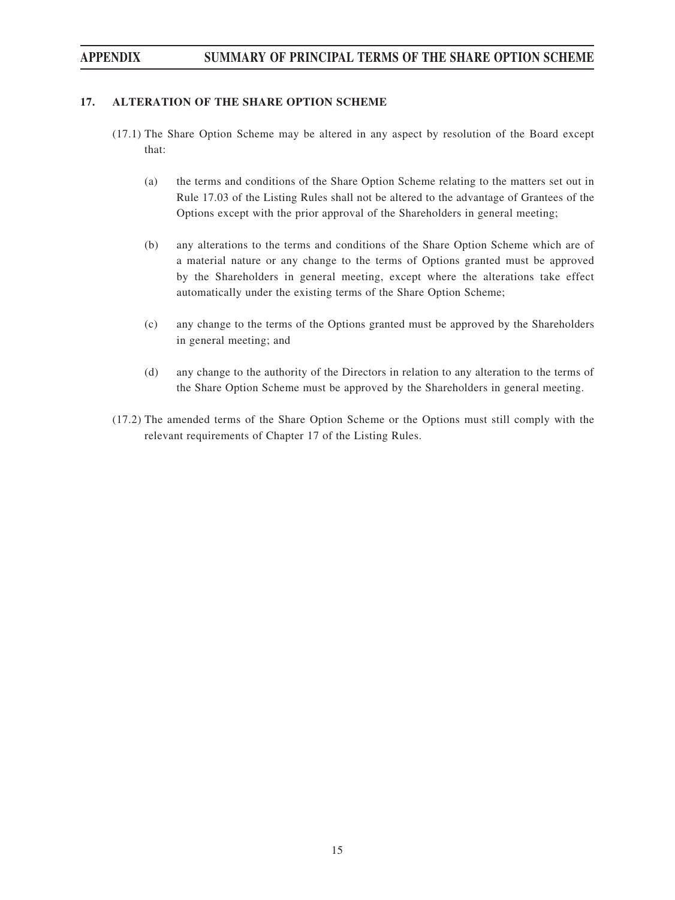### **17. ALTERATION OF THE SHARE OPTION SCHEME**

- (17.1) The Share Option Scheme may be altered in any aspect by resolution of the Board except that:
	- (a) the terms and conditions of the Share Option Scheme relating to the matters set out in Rule 17.03 of the Listing Rules shall not be altered to the advantage of Grantees of the Options except with the prior approval of the Shareholders in general meeting;
	- (b) any alterations to the terms and conditions of the Share Option Scheme which are of a material nature or any change to the terms of Options granted must be approved by the Shareholders in general meeting, except where the alterations take effect automatically under the existing terms of the Share Option Scheme;
	- (c) any change to the terms of the Options granted must be approved by the Shareholders in general meeting; and
	- (d) any change to the authority of the Directors in relation to any alteration to the terms of the Share Option Scheme must be approved by the Shareholders in general meeting.
- (17.2) The amended terms of the Share Option Scheme or the Options must still comply with the relevant requirements of Chapter 17 of the Listing Rules.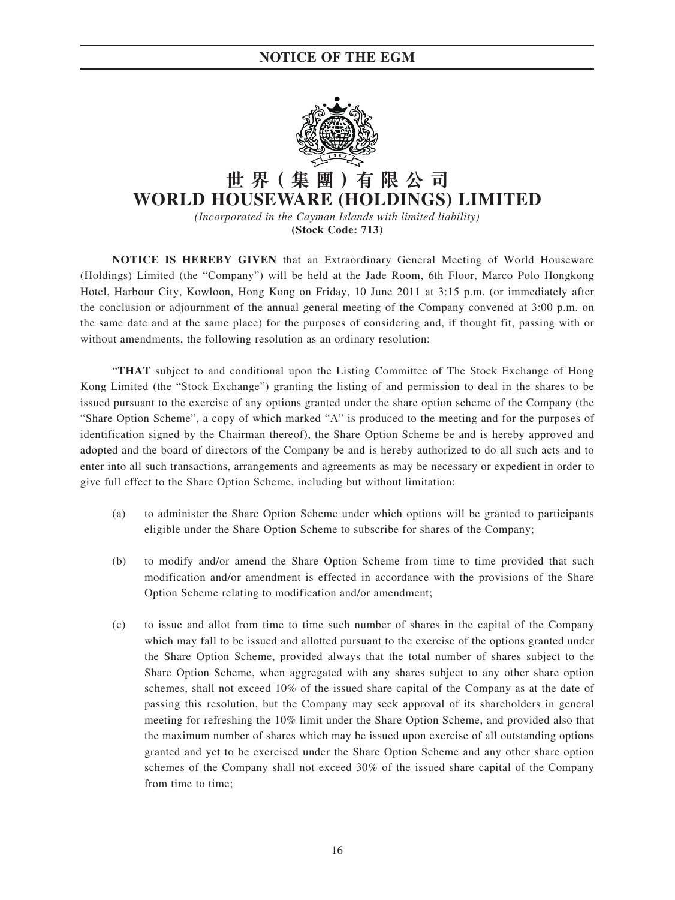

# **世 界( 集 團 )有 限 公 司 WORLD HOUSEWARE (HOLDINGS) LIMITED**

*(Incorporated in the Cayman Islands with limited liability)* **(Stock Code: 713)**

**NOTICE IS HEREBY GIVEN** that an Extraordinary General Meeting of World Houseware (Holdings) Limited (the "Company") will be held at the Jade Room, 6th Floor, Marco Polo Hongkong Hotel, Harbour City, Kowloon, Hong Kong on Friday, 10 June 2011 at 3:15 p.m. (or immediately after the conclusion or adjournment of the annual general meeting of the Company convened at 3:00 p.m. on the same date and at the same place) for the purposes of considering and, if thought fit, passing with or without amendments, the following resolution as an ordinary resolution:

"**THAT** subject to and conditional upon the Listing Committee of The Stock Exchange of Hong Kong Limited (the "Stock Exchange") granting the listing of and permission to deal in the shares to be issued pursuant to the exercise of any options granted under the share option scheme of the Company (the "Share Option Scheme", a copy of which marked "A" is produced to the meeting and for the purposes of identification signed by the Chairman thereof), the Share Option Scheme be and is hereby approved and adopted and the board of directors of the Company be and is hereby authorized to do all such acts and to enter into all such transactions, arrangements and agreements as may be necessary or expedient in order to give full effect to the Share Option Scheme, including but without limitation:

- (a) to administer the Share Option Scheme under which options will be granted to participants eligible under the Share Option Scheme to subscribe for shares of the Company;
- (b) to modify and/or amend the Share Option Scheme from time to time provided that such modification and/or amendment is effected in accordance with the provisions of the Share Option Scheme relating to modification and/or amendment;
- (c) to issue and allot from time to time such number of shares in the capital of the Company which may fall to be issued and allotted pursuant to the exercise of the options granted under the Share Option Scheme, provided always that the total number of shares subject to the Share Option Scheme, when aggregated with any shares subject to any other share option schemes, shall not exceed 10% of the issued share capital of the Company as at the date of passing this resolution, but the Company may seek approval of its shareholders in general meeting for refreshing the 10% limit under the Share Option Scheme, and provided also that the maximum number of shares which may be issued upon exercise of all outstanding options granted and yet to be exercised under the Share Option Scheme and any other share option schemes of the Company shall not exceed 30% of the issued share capital of the Company from time to time;